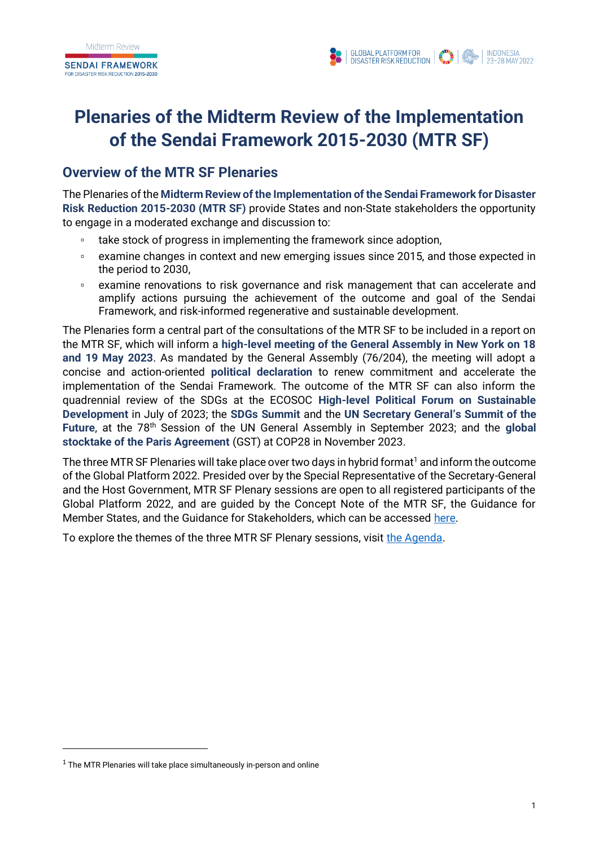



# **Plenaries of the Midterm Review of the Implementation of the Sendai Framework 2015-2030 (MTR SF)**

### **Overview of the MTR SF Plenaries**

The Plenaries of the **Midterm Review of the Implementation of the Sendai Framework for Disaster Risk Reduction 2015-2030 (MTR SF)** provide States and non-State stakeholders the opportunity to engage in a moderated exchange and discussion to:

- take stock of progress in implementing the framework since adoption,
- examine changes in context and new emerging issues since 2015, and those expected in the period to 2030,
- examine renovations to risk governance and risk management that can accelerate and amplify actions pursuing the achievement of the outcome and goal of the Sendai Framework, and risk-informed regenerative and sustainable development.

The Plenaries form a central part of the consultations of the MTR SF to be included in a report on the MTR SF, which will inform a **high-level meeting of the General Assembly in New York on 18 and 19 May 2023**. As mandated by the General Assembly (76/204), the meeting will adopt a concise and action-oriented **political declaration** to renew commitment and accelerate the implementation of the Sendai Framework. The outcome of the MTR SF can also inform the quadrennial review of the SDGs at the ECOSOC **High-level Political Forum on Sustainable Development** in July of 2023; the **SDGs Summit** and the **UN Secretary General's Summit of the Future**, at the 78th Session of the UN General Assembly in September 2023; and the **global stocktake of the Paris Agreement** (GST) at COP28 in November 2023.

The three MTR SF Plenaries will take place over two days in hybrid format<sup>1</sup> and inform the outcome of the Global Platform 2022. Presided over by the Special Representative of the Secretary-General and the Host Government, MTR SF Plenary sessions are open to all registered participants of the Global Platform 2022, and are guided by the Concept Note of the MTR SF, the Guidance for Member States, and the Guidance for Stakeholders, which can be accessed [here.](https://sendaiframework-mtr.undrr.org/key-documents-mtr)

To explore the themes of the three MTR SF Plenary sessions, visit [the Agenda.](#page-3-0)

 $1$  The MTR Plenaries will take place simultaneously in-person and online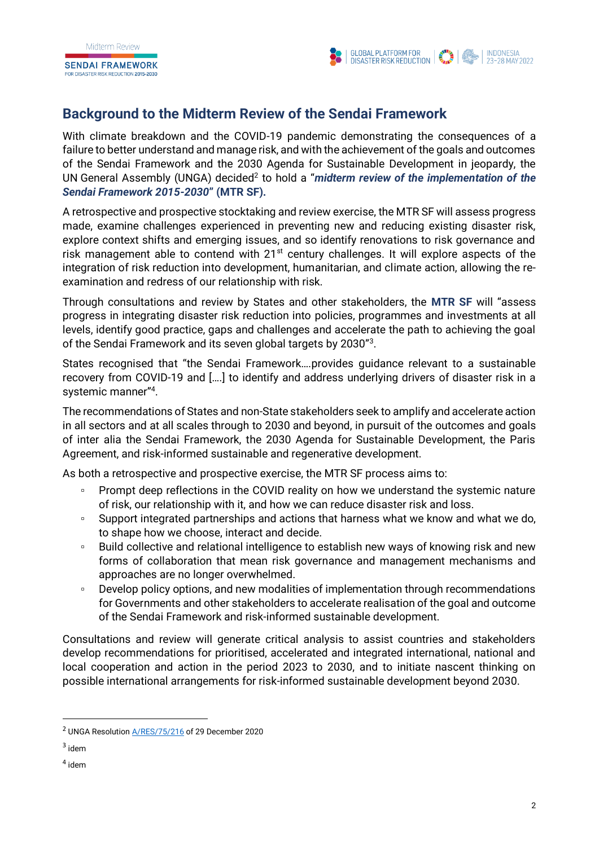**SENDAI FRAMEWORK** FOR DISASTER RISK REDUCTION 2015-2030



## **Background to the Midterm Review of the Sendai Framework**

With climate breakdown and the COVID-19 pandemic demonstrating the consequences of a failure to better understand and manage risk, and with the achievement of the goals and outcomes of the Sendai Framework and the 2030 Agenda for Sustainable Development in jeopardy, the UN General Assembly (UNGA) decided<sup>2</sup> to hold a "*midterm review of the implementation of the Sendai Framework 2015-2030***" (MTR SF).**

A retrospective and prospective stocktaking and review exercise, the MTR SF will assess progress made, examine challenges experienced in preventing new and reducing existing disaster risk, explore context shifts and emerging issues, and so identify renovations to risk governance and risk management able to contend with  $21^{st}$  century challenges. It will explore aspects of the integration of risk reduction into development, humanitarian, and climate action, allowing the reexamination and redress of our relationship with risk.

Through consultations and review by States and other stakeholders, the **MTR SF** will "assess progress in integrating disaster risk reduction into policies, programmes and investments at all levels, identify good practice, gaps and challenges and accelerate the path to achieving the goal of the Sendai Framework and its seven global targets by 2030"<sup>3</sup>.

States recognised that "the Sendai Framework….provides guidance relevant to a sustainable recovery from COVID-19 and [….] to identify and address underlying drivers of disaster risk in a systemic manner"<sup>4</sup> .

The recommendations of States and non-State stakeholders seek to amplify and accelerate action in all sectors and at all scales through to 2030 and beyond, in pursuit of the outcomes and goals of inter alia the Sendai Framework, the 2030 Agenda for Sustainable Development, the Paris Agreement, and risk-informed sustainable and regenerative development.

As both a retrospective and prospective exercise, the MTR SF process aims to:

- Prompt deep reflections in the COVID reality on how we understand the systemic nature of risk, our relationship with it, and how we can reduce disaster risk and loss.
- □ Support integrated partnerships and actions that harness what we know and what we do, to shape how we choose, interact and decide.
- □ Build collective and relational intelligence to establish new ways of knowing risk and new forms of collaboration that mean risk governance and management mechanisms and approaches are no longer overwhelmed.
- Develop policy options, and new modalities of implementation through recommendations for Governments and other stakeholders to accelerate realisation of the goal and outcome of the Sendai Framework and risk-informed sustainable development.

Consultations and review will generate critical analysis to assist countries and stakeholders develop recommendations for prioritised, accelerated and integrated international, national and local cooperation and action in the period 2023 to 2030, and to initiate nascent thinking on possible international arrangements for risk-informed sustainable development beyond 2030.

<sup>&</sup>lt;sup>2</sup> UNGA Resolution **A/RES/75/216** of 29 December 2020

 $3$  idem

<sup>4</sup> idem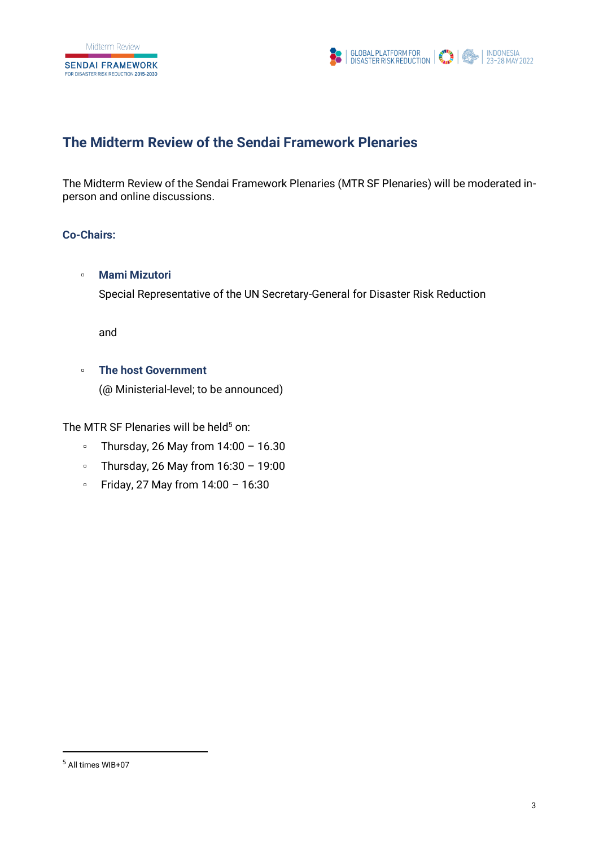**SENDAI FRAMEWORK** FOR DISASTER RISK REDUCTION 2015-2030



## **The Midterm Review of the Sendai Framework Plenaries**

The Midterm Review of the Sendai Framework Plenaries (MTR SF Plenaries) will be moderated inperson and online discussions.

### **Co-Chairs:**

### ▫ **Mami Mizutori**

Special Representative of the UN Secretary-General for Disaster Risk Reduction

and

#### ▫ **The host Government**

(@ Ministerial-level; to be announced)

The MTR SF Plenaries will be held $5$  on:

- $\degree$  Thursday, 26 May from 14:00 16.30
- Thursday, 26 May from 16:30 19:00
- Friday, 27 May from 14:00 16:30

<sup>5</sup> All times WIB+07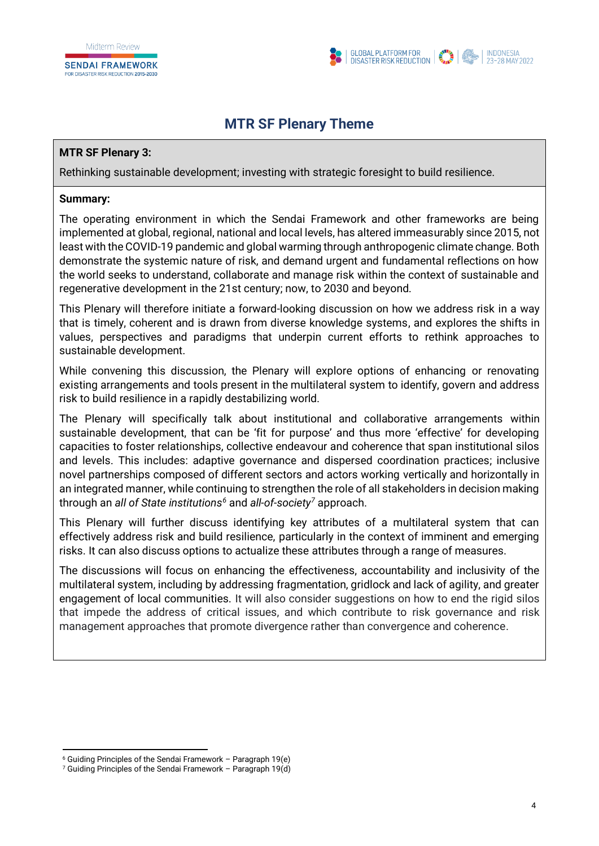

# **MTR SF Plenary Theme**

### <span id="page-3-0"></span>**MTR SF Plenary 3:**

Rethinking sustainable development; investing with strategic foresight to build resilience.

#### **Summary:**

The operating environment in which the Sendai Framework and other frameworks are being implemented at global, regional, national and local levels, has altered immeasurably since 2015, not least with the COVID-19 pandemic and global warming through anthropogenic climate change. Both demonstrate the systemic nature of risk, and demand urgent and fundamental reflections on how the world seeks to understand, collaborate and manage risk within the context of sustainable and regenerative development in the 21st century; now, to 2030 and beyond.

This Plenary will therefore initiate a forward-looking discussion on how we address risk in a way that is timely, coherent and is drawn from diverse knowledge systems, and explores the shifts in values, perspectives and paradigms that underpin current efforts to rethink approaches to sustainable development.

While convening this discussion, the Plenary will explore options of enhancing or renovating existing arrangements and tools present in the multilateral system to identify, govern and address risk to build resilience in a rapidly destabilizing world.

The Plenary will specifically talk about institutional and collaborative arrangements within sustainable development, that can be 'fit for purpose' and thus more 'effective' for developing capacities to foster relationships, collective endeavour and coherence that span institutional silos and levels. This includes: adaptive governance and dispersed coordination practices; inclusive novel partnerships composed of different sectors and actors working vertically and horizontally in an integrated manner, while continuing to strengthen the role of all stakeholders in decision making through an *all of State institutions<sup>6</sup>* and *all-of-society<sup>7</sup>* approach.

This Plenary will further discuss identifying key attributes of a multilateral system that can effectively address risk and build resilience, particularly in the context of imminent and emerging risks. It can also discuss options to actualize these attributes through a range of measures.

The discussions will focus on enhancing the effectiveness, accountability and inclusivity of the multilateral system, including by addressing fragmentation, gridlock and lack of agility, and greater engagement of local communities. It will also consider suggestions on how to end the rigid silos that impede the address of critical issues, and which contribute to risk governance and risk management approaches that promote divergence rather than convergence and coherence.

 $6$  Guiding Principles of the Sendai Framework – Paragraph 19(e)

<sup>7</sup> Guiding Principles of the Sendai Framework – Paragraph 19(d)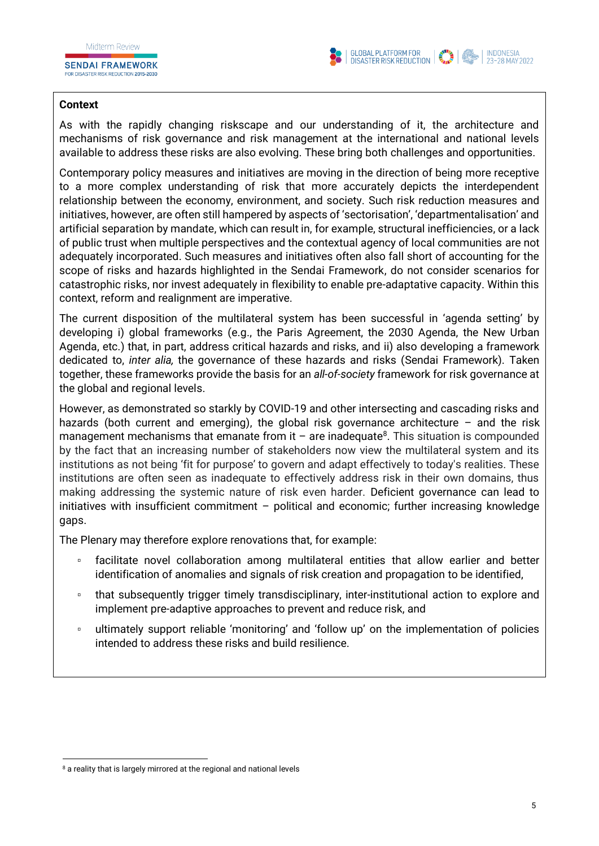**SENDAI FRAMEWORK** 



#### **Context**

As with the rapidly changing riskscape and our understanding of it, the architecture and mechanisms of risk governance and risk management at the international and national levels available to address these risks are also evolving. These bring both challenges and opportunities.

Contemporary policy measures and initiatives are moving in the direction of being more receptive to a more complex understanding of risk that more accurately depicts the interdependent relationship between the economy, environment, and society. Such risk reduction measures and initiatives, however, are often still hampered by aspects of 'sectorisation', 'departmentalisation' and artificial separation by mandate, which can result in, for example, structural inefficiencies, or a lack of public trust when multiple perspectives and the contextual agency of local communities are not adequately incorporated. Such measures and initiatives often also fall short of accounting for the scope of risks and hazards highlighted in the Sendai Framework, do not consider scenarios for catastrophic risks, nor invest adequately in flexibility to enable pre-adaptative capacity. Within this context, reform and realignment are imperative.

The current disposition of the multilateral system has been successful in 'agenda setting' by developing i) global frameworks (e.g., the Paris Agreement, the 2030 Agenda, the New Urban Agenda, etc.) that, in part, address critical hazards and risks, and ii) also developing a framework dedicated to, *inter alia,* the governance of these hazards and risks (Sendai Framework). Taken together, these frameworks provide the basis for an *all-of-society* framework for risk governance at the global and regional levels.

However, as demonstrated so starkly by COVID-19 and other intersecting and cascading risks and hazards (both current and emerging), the global risk governance architecture – and the risk management mechanisms that emanate from it  $-$  are inadequate<sup>8</sup>. This situation is compounded by the fact that an increasing number of stakeholders now view the multilateral system and its institutions as not being 'fit for purpose' to govern and adapt effectively to today's realities. These institutions are often seen as inadequate to effectively address risk in their own domains, thus making addressing the systemic nature of risk even harder. Deficient governance can lead to initiatives with insufficient commitment – political and economic; further increasing knowledge gaps.

The Plenary may therefore explore renovations that, for example:

- facilitate novel collaboration among multilateral entities that allow earlier and better identification of anomalies and signals of risk creation and propagation to be identified,
- that subsequently trigger timely transdisciplinary, inter-institutional action to explore and implement pre-adaptive approaches to prevent and reduce risk, and
- ultimately support reliable 'monitoring' and 'follow up' on the implementation of policies intended to address these risks and build resilience.

<sup>8</sup> a reality that is largely mirrored at the regional and national levels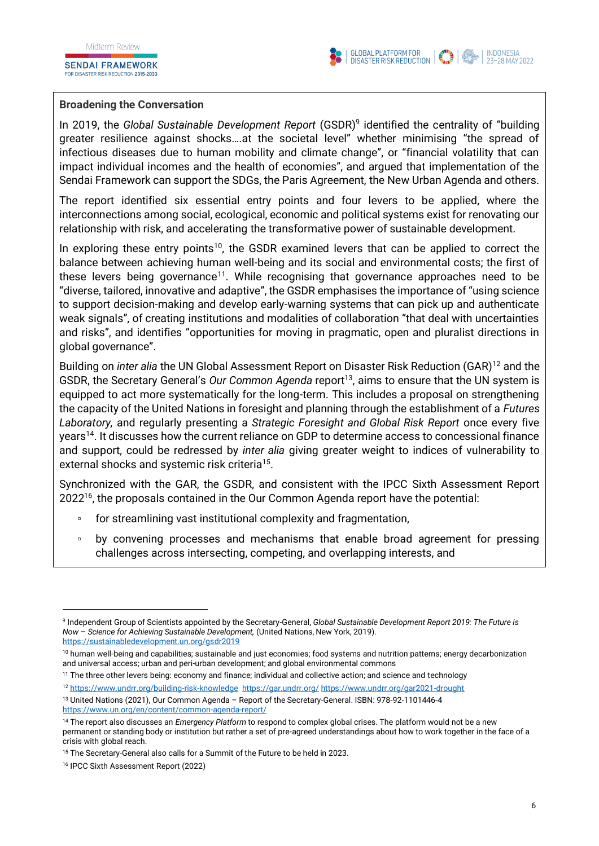**SENDAI FRAMEWORK** FOR DISASTER RISK REDUCTION 2015-2030



#### **Broadening the Conversation**

In 2019, the *Global Sustainable Development Report* (GSDR)<sup>9</sup> identified the centrality of "building greater resilience against shocks….at the societal level" whether minimising "the spread of infectious diseases due to human mobility and climate change", or "financial volatility that can impact individual incomes and the health of economies", and argued that implementation of the Sendai Framework can support the SDGs, the Paris Agreement, the New Urban Agenda and others.

The report identified six essential entry points and four levers to be applied, where the interconnections among social, ecological, economic and political systems exist for renovating our relationship with risk, and accelerating the transformative power of sustainable development.

In exploring these entry points<sup>10</sup>, the GSDR examined levers that can be applied to correct the balance between achieving human well-being and its social and environmental costs; the first of these levers being governance<sup>11</sup>. While recognising that governance approaches need to be "diverse, tailored, innovative and adaptive", the GSDR emphasises the importance of "using science to support decision-making and develop early-warning systems that can pick up and authenticate weak signals", of creating institutions and modalities of collaboration "that deal with uncertainties and risks", and identifies "opportunities for moving in pragmatic, open and pluralist directions in global governance".

Building on *inter alia* the UN Global Assessment Report on Disaster Risk Reduction (GAR)<sup>12</sup> and the GSDR, the Secretary General's *Our Common Agenda* report<sup>13</sup>, aims to ensure that the UN system is equipped to act more systematically for the long-term. This includes a proposal on strengthening the capacity of the United Nations in foresight and planning through the establishment of a *Futures Laboratory,* and regularly presenting a *Strategic Foresight and Global Risk Report* once every five years<sup>14</sup>. It discusses how the current reliance on GDP to determine access to concessional finance and support, could be redressed by *inter alia* giving greater weight to indices of vulnerability to external shocks and systemic risk criteria<sup>15</sup>.

Synchronized with the GAR, the GSDR, and consistent with the IPCC Sixth Assessment Report 2022<sup>16</sup>, the proposals contained in the Our Common Agenda report have the potential:

- for streamlining vast institutional complexity and fragmentation,
- by convening processes and mechanisms that enable broad agreement for pressing challenges across intersecting, competing, and overlapping interests, and

<sup>9</sup> Independent Group of Scientists appointed by the Secretary-General, *Global Sustainable Development Report 2019: The Future is Now* – *Science for Achieving Sustainable Development,* (United Nations, New York, 2019). <https://sustainabledevelopment.un.org/gsdr2019>

<sup>&</sup>lt;sup>10</sup> human well-being and capabilities; sustainable and just economies; food systems and nutrition patterns; energy decarbonization and universal access; urban and peri-urban development; and global environmental commons

<sup>11</sup> The three other levers being: economy and finance; individual and collective action; and science and technology

<sup>12</sup> <https://www.undrr.org/building-risk-knowledge><https://gar.undrr.org/> <https://www.undrr.org/gar2021-drought>

<sup>13</sup> United Nations (2021), Our Common Agenda – Report of the Secretary-General. ISBN: 978-92-1101446-4 <https://www.un.org/en/content/common-agenda-report/>

<sup>14</sup> The report also discusses an *Emergency Platform* to respond to complex global crises. The platform would not be a new permanent or standing body or institution but rather a set of pre-agreed understandings about how to work together in the face of a crisis with global reach.

<sup>&</sup>lt;sup>15</sup> The Secretary-General also calls for a Summit of the Future to be held in 2023.

<sup>16</sup> IPCC Sixth Assessment Report (2022)